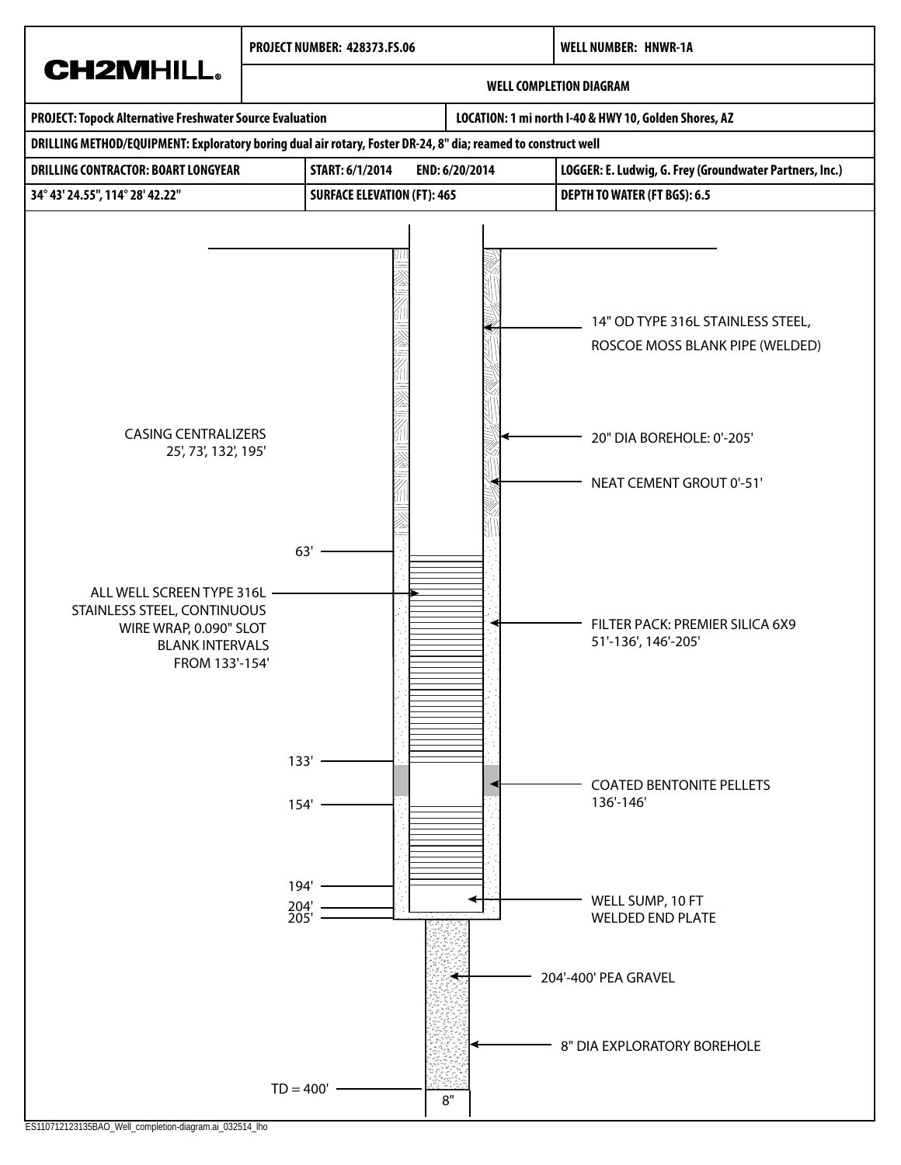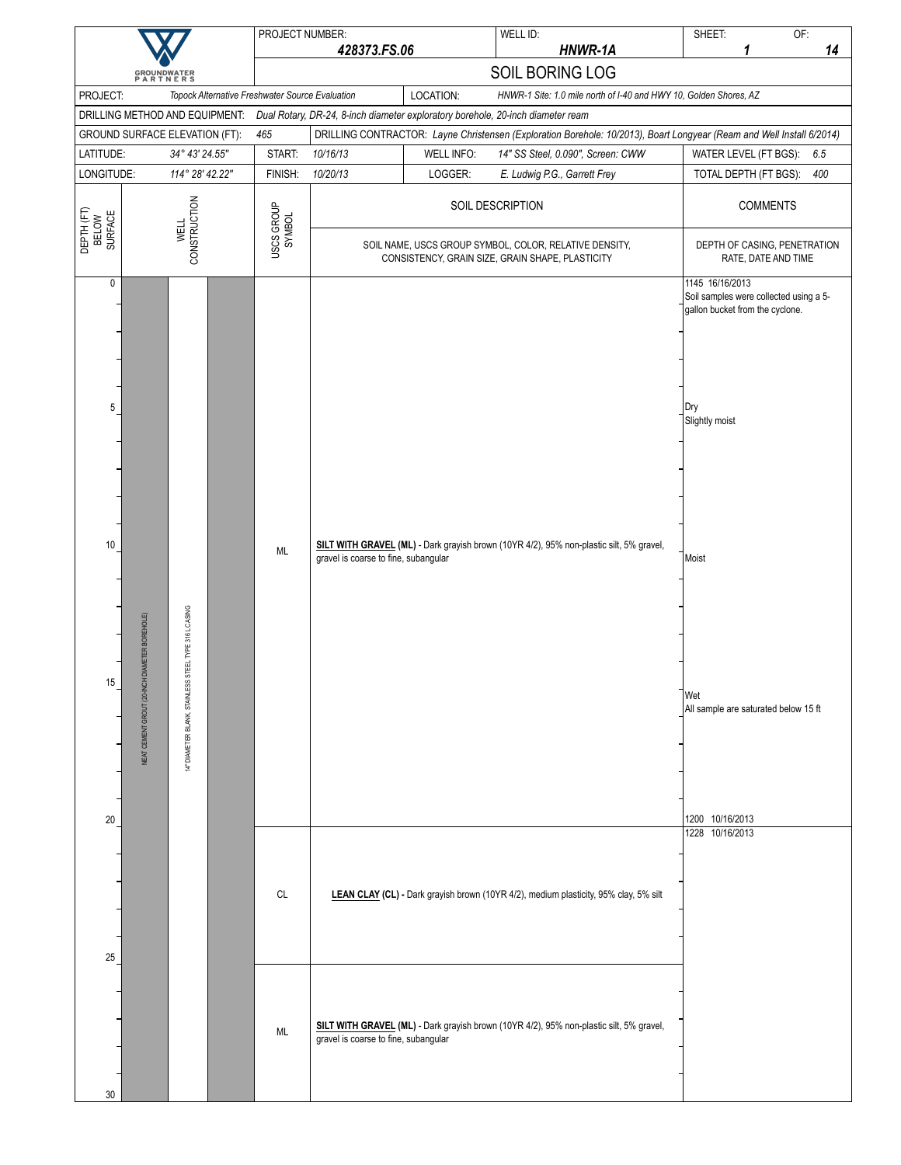|                                |                                                                                                                    |  | PROJECT NUMBER:                                 |                                      |                   | WELL ID:                                                                                                                                             | SHEET:<br>1                                                                                                                                                                   | OF: |
|--------------------------------|--------------------------------------------------------------------------------------------------------------------|--|-------------------------------------------------|--------------------------------------|-------------------|------------------------------------------------------------------------------------------------------------------------------------------------------|-------------------------------------------------------------------------------------------------------------------------------------------------------------------------------|-----|
|                                |                                                                                                                    |  |                                                 | 428373.FS.06                         |                   | HNWR-1A                                                                                                                                              |                                                                                                                                                                               | 14  |
|                                | <b>GROUNDWATER</b><br>PARTNERS                                                                                     |  |                                                 |                                      |                   | SOIL BORING LOG                                                                                                                                      |                                                                                                                                                                               |     |
| PROJECT:                       | DRILLING METHOD AND EQUIPMENT:                                                                                     |  | Topock Alternative Freshwater Source Evaluation |                                      | LOCATION:         | HNWR-1 Site: 1.0 mile north of I-40 and HWY 10, Golden Shores, AZ<br>Dual Rotary, DR-24, 8-inch diameter exploratory borehole, 20-inch diameter ream |                                                                                                                                                                               |     |
|                                | GROUND SURFACE ELEVATION (FT):                                                                                     |  | 465                                             |                                      |                   | DRILLING CONTRACTOR: Layne Christensen (Exploration Borehole: 10/2013), Boart Longyear (Ream and Well Install 6/2014)                                |                                                                                                                                                                               |     |
| LATITUDE:                      | 34° 43' 24.55"                                                                                                     |  | START:                                          | 10/16/13                             | <b>WELL INFO:</b> | 14" SS Steel, 0.090", Screen: CWW                                                                                                                    | WATER LEVEL (FT BGS):                                                                                                                                                         | 6.5 |
| LONGITUDE:                     | 114° 28' 42.22"                                                                                                    |  | FINISH:                                         | 10/20/13                             | LOGGER:           | E. Ludwig P.G., Garrett Frey                                                                                                                         | TOTAL DEPTH (FT BGS):                                                                                                                                                         | 400 |
|                                |                                                                                                                    |  |                                                 |                                      |                   | SOIL DESCRIPTION                                                                                                                                     | <b>COMMENTS</b>                                                                                                                                                               |     |
| DEPTH (FT)<br>BELOW<br>SURFACE | CONSTRUCTION<br><b>WELL</b>                                                                                        |  | USCS GROUP<br>SYMBOL                            |                                      |                   | SOIL NAME, USCS GROUP SYMBOL, COLOR, RELATIVE DENSITY,<br>CONSISTENCY, GRAIN SIZE, GRAIN SHAPE, PLASTICITY                                           | DEPTH OF CASING, PENETRATION<br>RATE, DATE AND TIME                                                                                                                           |     |
| $\pmb{0}$<br>5<br>10<br>15     | STEEL TYPE 316 L CASING<br>NEAT CEMENT GROUT (20-INCH DIAMETER BOREHOLE)<br><b>STAINLESS</b><br>4" DIAMETER BLANK, |  | ML                                              | gravel is coarse to fine, subangular |                   | SILT WITH GRAVEL (ML) - Dark grayish brown (10YR 4/2), 95% non-plastic silt, 5% gravel,                                                              | 1145 16/16/2013<br>Soil samples were collected using a 5-<br>gallon bucket from the cyclone.<br>Dry<br>Slightly moist<br>Moist<br>Wet<br>All sample are saturated below 15 ft |     |
| 20                             |                                                                                                                    |  |                                                 |                                      |                   |                                                                                                                                                      | 1200 10/16/2013                                                                                                                                                               |     |
| 25                             |                                                                                                                    |  | CL                                              |                                      |                   | LEAN CLAY (CL) - Dark grayish brown (10YR 4/2), medium plasticity, 95% clay, 5% silt                                                                 | 1228 10/16/2013                                                                                                                                                               |     |
| 30                             |                                                                                                                    |  | ML                                              | gravel is coarse to fine, subangular |                   | SILT WITH GRAVEL (ML) - Dark grayish brown (10YR 4/2), 95% non-plastic silt, 5% gravel,                                                              |                                                                                                                                                                               |     |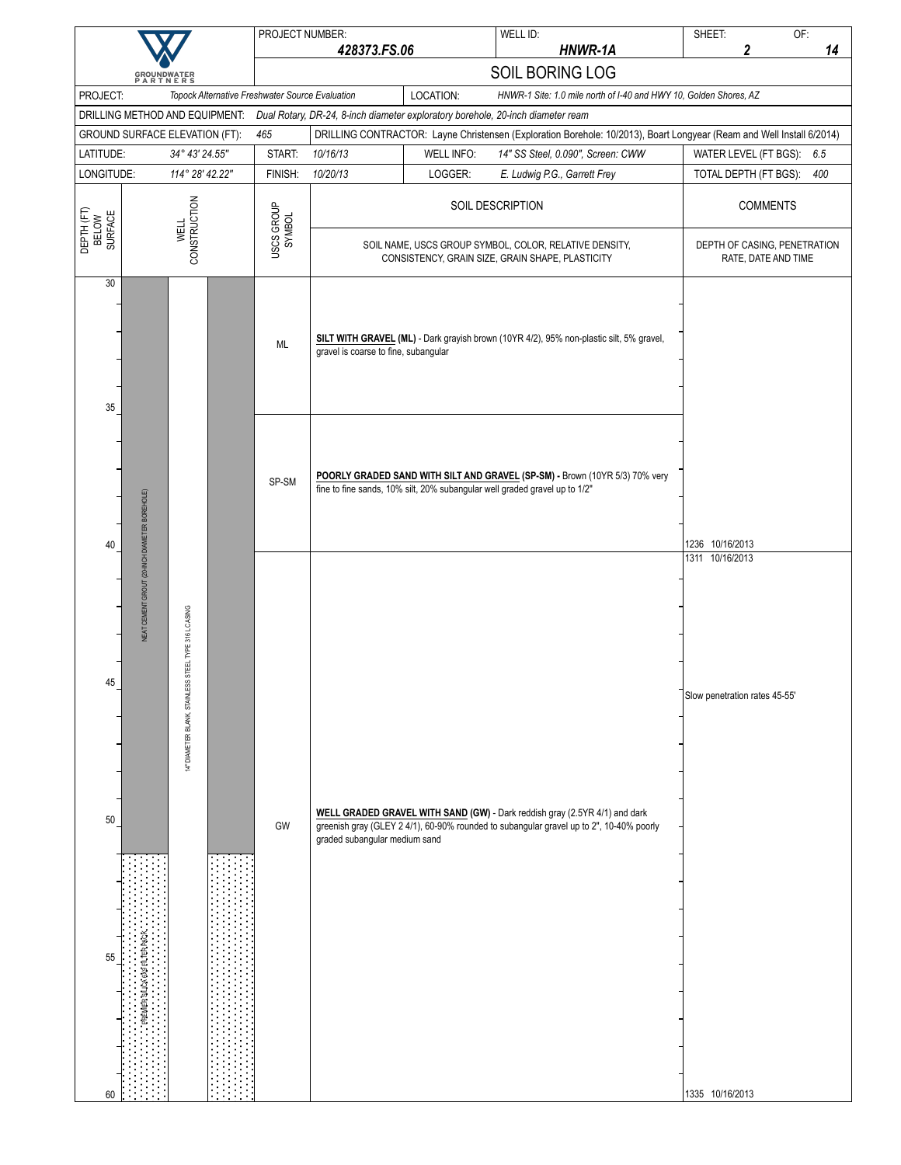|                                            |                                               |                                                                    |                      | PROJECT NUMBER:                                 |                                      |                   | WELL ID:                                                                                                                                                              |                 | SHEET:                                                              | OF:                 |     |
|--------------------------------------------|-----------------------------------------------|--------------------------------------------------------------------|----------------------|-------------------------------------------------|--------------------------------------|-------------------|-----------------------------------------------------------------------------------------------------------------------------------------------------------------------|-----------------|---------------------------------------------------------------------|---------------------|-----|
|                                            |                                               |                                                                    |                      |                                                 | 428373.FS.06                         |                   | HNWR-1A<br>SOIL BORING LOG                                                                                                                                            |                 | 2                                                                   |                     | 14  |
|                                            | <b>GROUNDWATER</b><br>PARTNERS                |                                                                    |                      |                                                 |                                      |                   |                                                                                                                                                                       |                 |                                                                     |                     |     |
| PROJECT:<br>DRILLING METHOD AND EQUIPMENT: |                                               |                                                                    |                      | Topock Alternative Freshwater Source Evaluation |                                      | LOCATION:         | HNWR-1 Site: 1.0 mile north of I-40 and HWY 10, Golden Shores, AZ<br>Dual Rotary, DR-24, 8-inch diameter exploratory borehole, 20-inch diameter ream                  |                 |                                                                     |                     |     |
| GROUND SURFACE ELEVATION (FT):             |                                               |                                                                    |                      | 465                                             |                                      |                   | DRILLING CONTRACTOR: Layne Christensen (Exploration Borehole: 10/2013), Boart Longyear (Ream and Well Install 6/2014)                                                 |                 |                                                                     |                     |     |
| LATITUDE:                                  |                                               | 34° 43' 24.55"                                                     |                      | START:                                          | 10/16/13                             | <b>WELL INFO:</b> | 14" SS Steel, 0.090", Screen: CWW                                                                                                                                     |                 | WATER LEVEL (FT BGS):                                               |                     | 6.5 |
| LONGITUDE:                                 |                                               | 114° 28' 42.22"                                                    |                      | FINISH:                                         | 10/20/13                             | LOGGER:           | E. Ludwig P.G., Garrett Frey                                                                                                                                          |                 | TOTAL DEPTH (FT BGS):                                               |                     | 400 |
| DEPTH (FT)<br>BELOW<br>SURFACE             | <b>CONSTRUCTION</b><br><b>WELL</b>            |                                                                    | USCS GROUP<br>SYMBOL | SOIL DESCRIPTION                                |                                      |                   |                                                                                                                                                                       | <b>COMMENTS</b> |                                                                     |                     |     |
| 30                                         |                                               |                                                                    |                      |                                                 |                                      |                   | SOIL NAME, USCS GROUP SYMBOL, COLOR, RELATIVE DENSITY,<br>CONSISTENCY, GRAIN SIZE, GRAIN SHAPE, PLASTICITY                                                            |                 | DEPTH OF CASING, PENETRATION                                        | RATE, DATE AND TIME |     |
| 35                                         |                                               |                                                                    |                      | ML                                              | gravel is coarse to fine, subangular |                   | SILT WITH GRAVEL (ML) - Dark grayish brown (10YR 4/2), 95% non-plastic silt, 5% gravel,                                                                               |                 |                                                                     |                     |     |
| 40                                         |                                               |                                                                    |                      | SP-SM                                           |                                      |                   | POORLY GRADED SAND WITH SILT AND GRAVEL (SP-SM) - Brown (10YR 5/3) 70% very<br>fine to fine sands, 10% silt, 20% subangular well graded gravel up to 1/2"             |                 | 1236 10/16/2013                                                     |                     |     |
| 45<br>$50\,$<br>55<br>60                   | NEAT CEMENT GROUT (20-INCH DIAMETER BOREHOLE) | STEEL TYPE 316 L CASING<br><b>STAINLESS</b><br>14" DIAMETER BLANK, |                      | GW                                              | graded subangular medium sand        |                   | WELL GRADED GRAVEL WITH SAND (GW) - Dark reddish gray (2.5YR 4/1) and dark<br>greenish gray (GLEY 2 4/1), 60-90% rounded to subangular gravel up to 2", 10-40% poorly |                 | 1311 10/16/2013<br>Slow penetration rates 45-55'<br>1335 10/16/2013 |                     |     |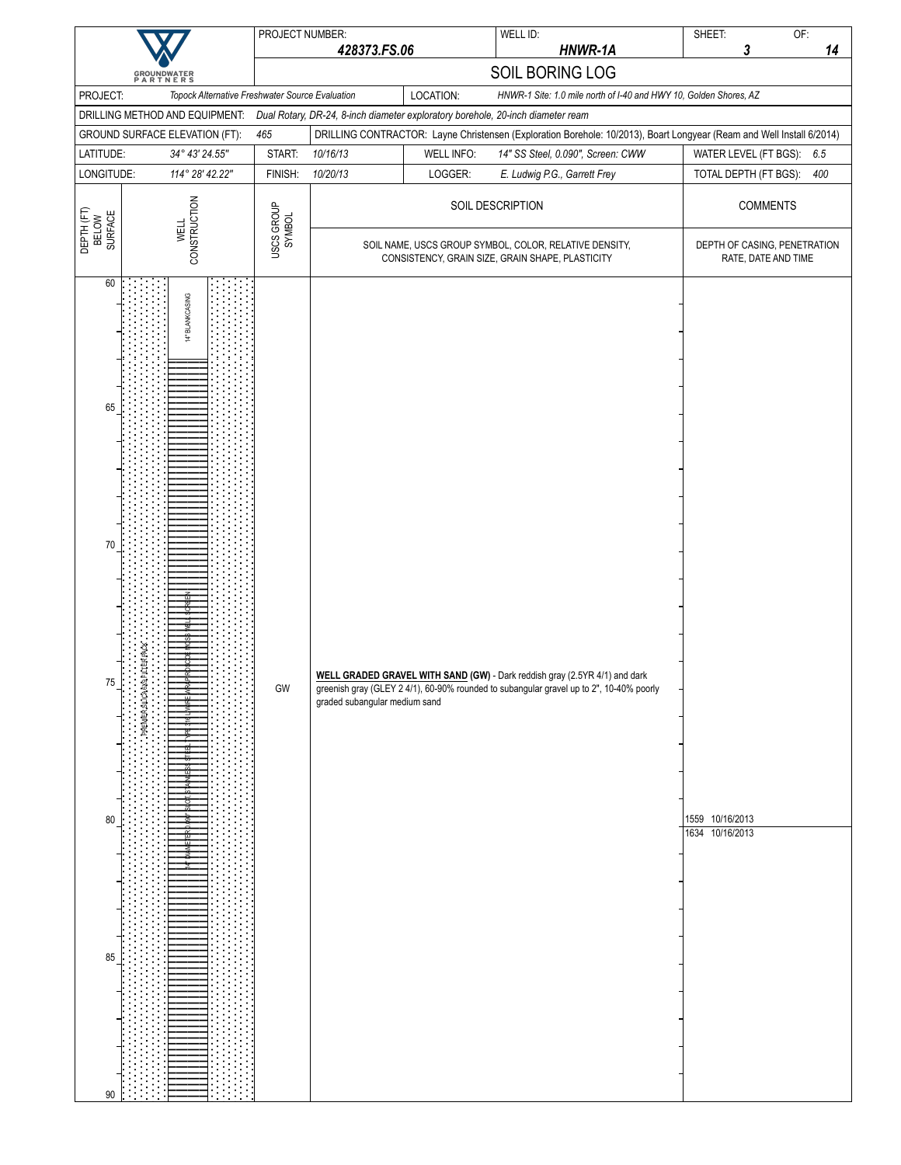|                                                |                                                 | PROJECT NUMBER:      |                               |                   | WELL ID:                                                                                                                                                              | OF:<br>SHEET:                                                                                                         |
|------------------------------------------------|-------------------------------------------------|----------------------|-------------------------------|-------------------|-----------------------------------------------------------------------------------------------------------------------------------------------------------------------|-----------------------------------------------------------------------------------------------------------------------|
|                                                |                                                 |                      | 428373.FS.06                  |                   | HNWR-1A                                                                                                                                                               | 14<br>3                                                                                                               |
|                                                | <b>GROUNDWATER</b><br>PARTNERS                  |                      |                               |                   | SOIL BORING LOG                                                                                                                                                       |                                                                                                                       |
| PROJECT:                                       | Topock Alternative Freshwater Source Evaluation |                      |                               | LOCATION:         | HNWR-1 Site: 1.0 mile north of I-40 and HWY 10, Golden Shores, AZ                                                                                                     |                                                                                                                       |
|                                                | DRILLING METHOD AND EQUIPMENT:                  |                      |                               |                   | Dual Rotary, DR-24, 8-inch diameter exploratory borehole, 20-inch diameter ream                                                                                       |                                                                                                                       |
|                                                | GROUND SURFACE ELEVATION (FT):                  | 465                  |                               |                   |                                                                                                                                                                       | DRILLING CONTRACTOR: Layne Christensen (Exploration Borehole: 10/2013), Boart Longyear (Ream and Well Install 6/2014) |
| LATITUDE:                                      | 34° 43' 24.55"                                  | START:               | 10/16/13                      | <b>WELL INFO:</b> | 14" SS Steel, 0.090", Screen: CWW                                                                                                                                     | WATER LEVEL (FT BGS):<br>6.5                                                                                          |
| LONGITUDE:                                     | 114° 28' 42.22"                                 | FINISH:              | 10/20/13                      | LOGGER:           | E. Ludwig P.G., Garrett Frey                                                                                                                                          | TOTAL DEPTH (FT BGS):<br>400                                                                                          |
| DEPTH (FT)<br>BELOW<br>SURFACE                 | CONSTRUCTION<br><b>WELL</b>                     | USCS GROUP<br>SYMBOL |                               |                   | SOIL DESCRIPTION                                                                                                                                                      | <b>COMMENTS</b>                                                                                                       |
|                                                |                                                 |                      |                               |                   | SOIL NAME, USCS GROUP SYMBOL, COLOR, RELATIVE DENSITY,<br>CONSISTENCY, GRAIN SIZE, GRAIN SHAPE, PLASTICITY                                                            | DEPTH OF CASING, PENETRATION<br>RATE, DATE AND TIME                                                                   |
| 60<br>65<br>70<br>75<br>$80\,$<br>85<br>$90\,$ | BLANKCASING<br>븇<br>PREMIER SILICA 6X9 FILTER   | GW                   | graded subangular medium sand |                   | WELL GRADED GRAVEL WITH SAND (GW) - Dark reddish gray (2.5YR 4/1) and dark<br>greenish gray (GLEY 2 4/1), 60-90% rounded to subangular gravel up to 2", 10-40% poorly | 1559 10/16/2013<br>1634 10/16/2013                                                                                    |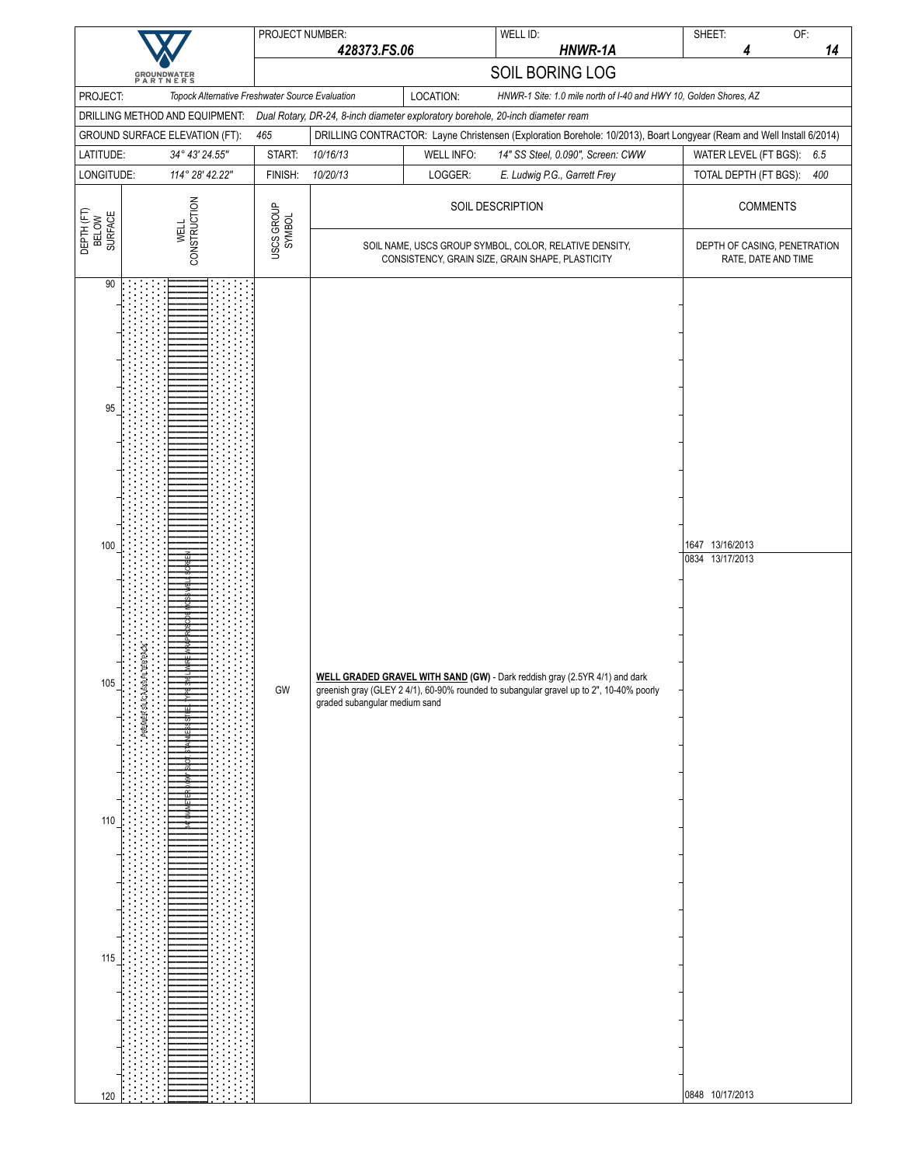|                                               |                                                                  | PROJECT NUMBER:      |                               |                   | WELL ID:                                                                                                                                                              | OF:<br>SHEET:                                                                                                         |
|-----------------------------------------------|------------------------------------------------------------------|----------------------|-------------------------------|-------------------|-----------------------------------------------------------------------------------------------------------------------------------------------------------------------|-----------------------------------------------------------------------------------------------------------------------|
|                                               |                                                                  |                      | 428373.FS.06                  |                   | HNWR-1A                                                                                                                                                               | 14<br>4                                                                                                               |
|                                               | <b>GROUNDWATER</b><br>PARTNERS                                   |                      |                               |                   | SOIL BORING LOG                                                                                                                                                       |                                                                                                                       |
| PROJECT:                                      | Topock Alternative Freshwater Source Evaluation                  |                      |                               | LOCATION:         | HNWR-1 Site: 1.0 mile north of I-40 and HWY 10, Golden Shores, AZ                                                                                                     |                                                                                                                       |
|                                               | DRILLING METHOD AND EQUIPMENT:<br>GROUND SURFACE ELEVATION (FT): | 465                  |                               |                   | Dual Rotary, DR-24, 8-inch diameter exploratory borehole, 20-inch diameter ream                                                                                       | DRILLING CONTRACTOR: Layne Christensen (Exploration Borehole: 10/2013), Boart Longyear (Ream and Well Install 6/2014) |
| LATITUDE:                                     | 34° 43' 24.55"                                                   | START:               | 10/16/13                      | <b>WELL INFO:</b> | 14" SS Steel, 0.090", Screen: CWW                                                                                                                                     | 6.5<br>WATER LEVEL (FT BGS):                                                                                          |
| LONGITUDE:                                    | 114° 28' 42.22"                                                  | FINISH:              | 10/20/13                      | LOGGER:           | E. Ludwig P.G., Garrett Frey                                                                                                                                          | 400<br>TOTAL DEPTH (FT BGS):                                                                                          |
| DEPTH (FT)<br>BELOW<br>SURFACE                | CONSTRUCTION<br><b>WELL</b>                                      | USCS GROUP<br>SYMBOL |                               |                   | SOIL DESCRIPTION                                                                                                                                                      | <b>COMMENTS</b>                                                                                                       |
|                                               |                                                                  |                      |                               |                   | SOIL NAME, USCS GROUP SYMBOL, COLOR, RELATIVE DENSITY,<br>CONSISTENCY, GRAIN SIZE, GRAIN SHAPE, PLASTICITY                                                            | DEPTH OF CASING, PENETRATION<br>RATE, DATE AND TIME                                                                   |
| 90<br>95<br>100<br>105<br>$110$<br>115<br>120 | PREMIER SILICA 6X9 FILTER                                        | GW                   | graded subangular medium sand |                   | WELL GRADED GRAVEL WITH SAND (GW) - Dark reddish gray (2.5YR 4/1) and dark<br>greenish gray (GLEY 2 4/1), 60-90% rounded to subangular gravel up to 2", 10-40% poorly | 1647 13/16/2013<br>0834 13/17/2013<br>0848 10/17/2013                                                                 |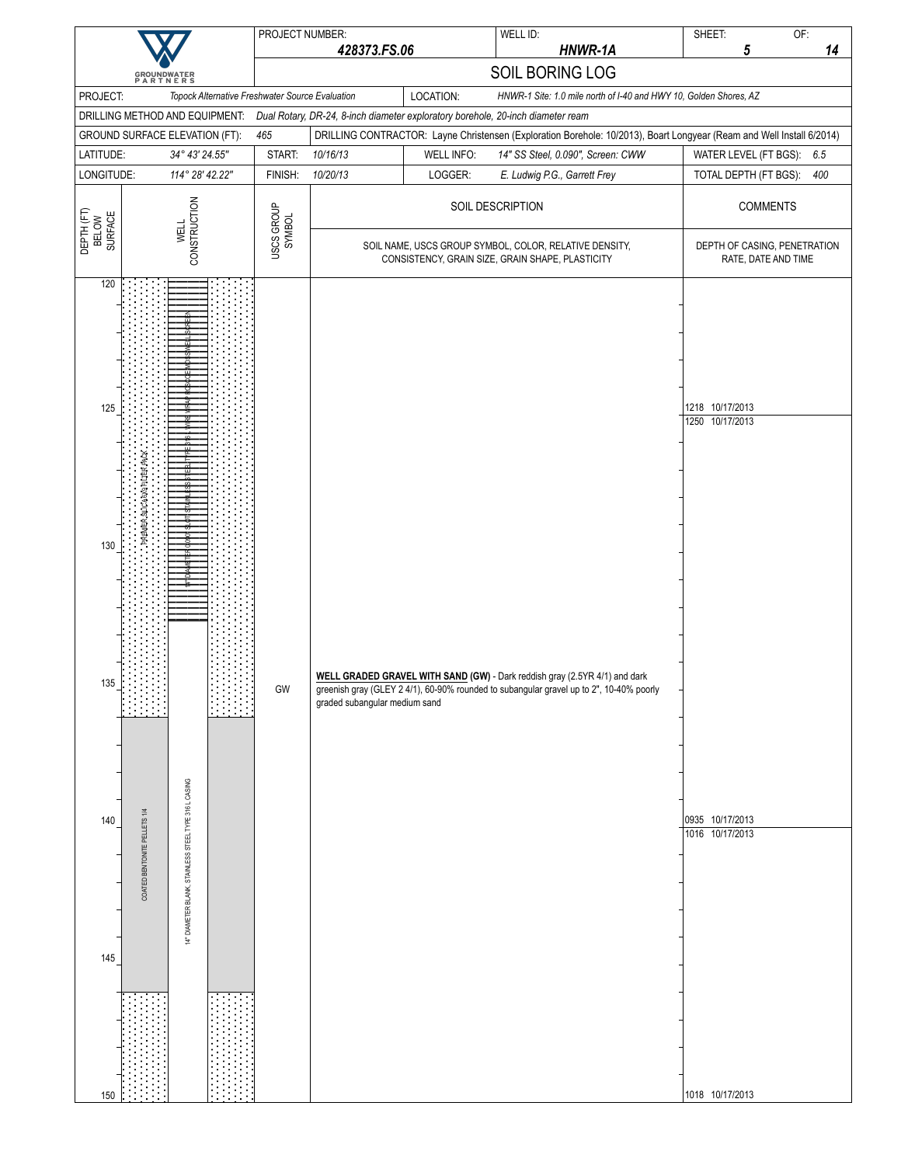|                                |                                |                                                       | PROJECT NUMBER:                                 |                               |                   | WELL ID:                                                                                                                                                              | SHEET:                             | OF:                 |     |
|--------------------------------|--------------------------------|-------------------------------------------------------|-------------------------------------------------|-------------------------------|-------------------|-----------------------------------------------------------------------------------------------------------------------------------------------------------------------|------------------------------------|---------------------|-----|
|                                |                                |                                                       |                                                 | 428373.FS.06                  |                   | HNWR-1A                                                                                                                                                               | 5                                  |                     | 14  |
|                                | <b>GROUNDWATER</b><br>PARTNERS |                                                       |                                                 |                               |                   | SOIL BORING LOG                                                                                                                                                       |                                    |                     |     |
| PROJECT:                       |                                |                                                       | Topock Alternative Freshwater Source Evaluation |                               | LOCATION:         | HNWR-1 Site: 1.0 mile north of I-40 and HWY 10, Golden Shores, AZ                                                                                                     |                                    |                     |     |
|                                | DRILLING METHOD AND EQUIPMENT: |                                                       |                                                 |                               |                   | Dual Rotary, DR-24, 8-inch diameter exploratory borehole, 20-inch diameter ream                                                                                       |                                    |                     |     |
|                                | GROUND SURFACE ELEVATION (FT): |                                                       | 465                                             |                               |                   | DRILLING CONTRACTOR: Layne Christensen (Exploration Borehole: 10/2013), Boart Longyear (Ream and Well Install 6/2014)                                                 |                                    |                     |     |
| LATITUDE:                      |                                | 34° 43' 24.55"                                        | START:                                          | 10/16/13                      | <b>WELL INFO:</b> | 14" SS Steel, 0.090", Screen: CWW                                                                                                                                     | WATER LEVEL (FT BGS):              |                     | 6.5 |
| LONGITUDE:                     |                                | 114° 28' 42.22"                                       | FINISH:                                         | 10/20/13                      | LOGGER:           | E. Ludwig P.G., Garrett Frey                                                                                                                                          | TOTAL DEPTH (FT BGS):              |                     | 400 |
| DEPTH (FT)<br>BELOW<br>SURFACE |                                | CONSTRUCTION<br><b>WELL</b>                           | USCS GROUP<br>SYMBOL                            |                               |                   | SOIL DESCRIPTION                                                                                                                                                      |                                    | <b>COMMENTS</b>     |     |
|                                |                                |                                                       |                                                 |                               |                   | SOIL NAME, USCS GROUP SYMBOL, COLOR, RELATIVE DENSITY,<br>CONSISTENCY, GRAIN SIZE, GRAIN SHAPE, PLASTICITY                                                            | DEPTH OF CASING, PENETRATION       | RATE, DATE AND TIME |     |
| 120<br>125                     |                                |                                                       |                                                 |                               |                   |                                                                                                                                                                       | 1218 10/17/2013                    |                     |     |
| 130                            | PREMIER SILICA6X9 FILTER PAC   |                                                       |                                                 |                               |                   |                                                                                                                                                                       | 1250 10/17/2013                    |                     |     |
| 135                            |                                |                                                       | GW                                              | graded subangular medium sand |                   | WELL GRADED GRAVEL WITH SAND (GW) - Dark reddish gray (2.5YR 4/1) and dark<br>greenish gray (GLEY 2 4/1), 60-90% rounded to subangular gravel up to 2", 10-40% poorly |                                    |                     |     |
| 140                            | COATED BENTONITE PELLETS 1/4   | 14" DIAMETER BLANK, STAINLESS STEEL TYPE 316 L CASING |                                                 |                               |                   |                                                                                                                                                                       | 0935 10/17/2013<br>1016 10/17/2013 |                     |     |
| 145<br>150                     |                                |                                                       |                                                 |                               |                   |                                                                                                                                                                       | 1018 10/17/2013                    |                     |     |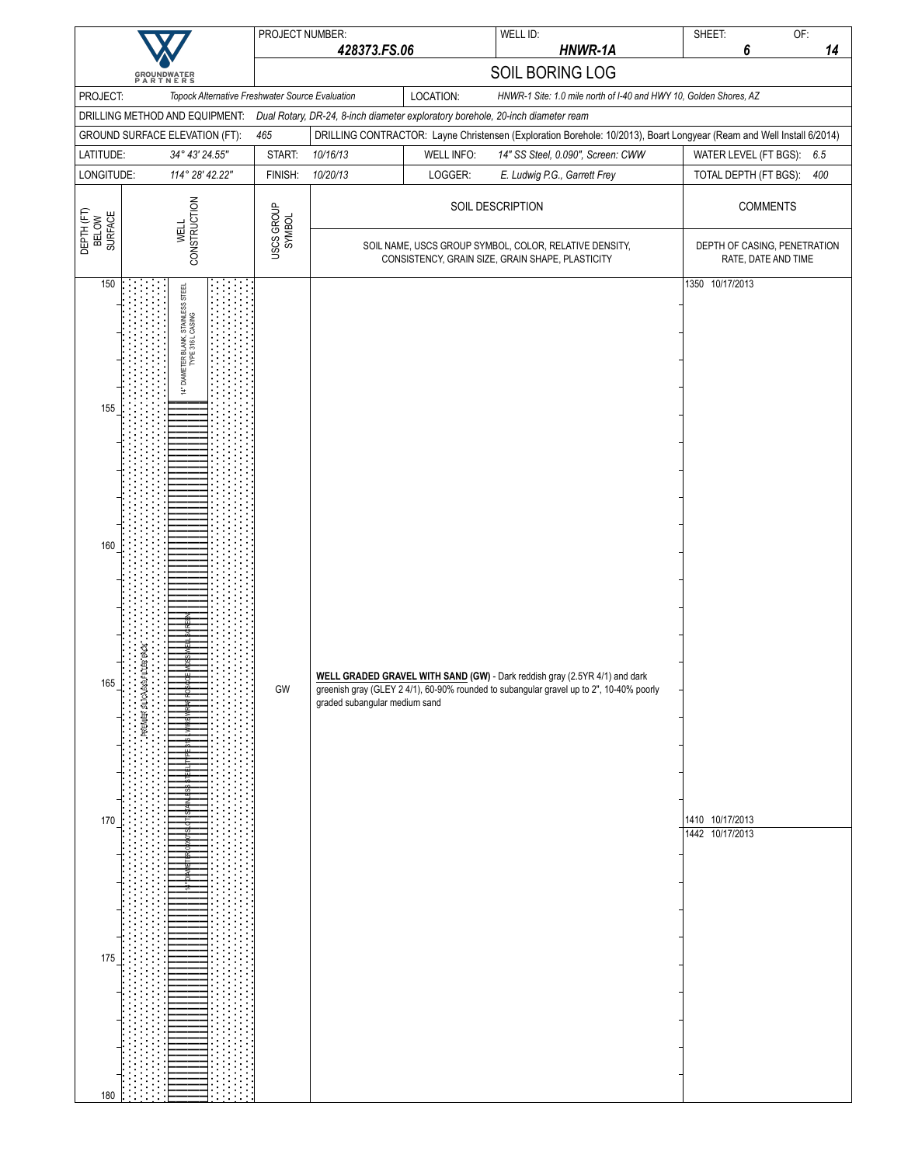|                                               |                                                                                       | PROJECT NUMBER:      |                               |                              | WELL ID:                                                                                                                                                              | SHEET:<br>OF:                                                                                                         |
|-----------------------------------------------|---------------------------------------------------------------------------------------|----------------------|-------------------------------|------------------------------|-----------------------------------------------------------------------------------------------------------------------------------------------------------------------|-----------------------------------------------------------------------------------------------------------------------|
|                                               |                                                                                       |                      | 428373.FS.06                  |                              | HNWR-1A                                                                                                                                                               | 14<br>6                                                                                                               |
|                                               | <b>GROUNDWATER</b><br>PARTNERS                                                        |                      |                               |                              | SOIL BORING LOG                                                                                                                                                       |                                                                                                                       |
| PROJECT:                                      | Topock Alternative Freshwater Source Evaluation                                       |                      |                               | LOCATION:                    | HNWR-1 Site: 1.0 mile north of I-40 and HWY 10, Golden Shores, AZ                                                                                                     |                                                                                                                       |
|                                               | DRILLING METHOD AND EQUIPMENT:                                                        |                      |                               |                              | Dual Rotary, DR-24, 8-inch diameter exploratory borehole, 20-inch diameter ream                                                                                       |                                                                                                                       |
|                                               | GROUND SURFACE ELEVATION (FT):                                                        | 465                  |                               |                              |                                                                                                                                                                       | DRILLING CONTRACTOR: Layne Christensen (Exploration Borehole: 10/2013), Boart Longyear (Ream and Well Install 6/2014) |
| LATITUDE:<br>LONGITUDE:                       | 34° 43' 24.55"<br>114° 28' 42.22"                                                     | START:<br>FINISH:    | 10/16/13<br>10/20/13          | <b>WELL INFO:</b><br>LOGGER: | 14" SS Steel, 0.090", Screen: CWW<br>E. Ludwig P.G., Garrett Frey                                                                                                     | WATER LEVEL (FT BGS):<br>6.5<br>TOTAL DEPTH (FT BGS):<br>400                                                          |
|                                               |                                                                                       |                      |                               |                              |                                                                                                                                                                       |                                                                                                                       |
| DEPTH (FT)<br>BELOW<br>SURFACE                | CONSTRUCTION<br><b>WELL</b>                                                           | USCS GROUP<br>SYMBOL |                               |                              | SOIL DESCRIPTION<br>SOIL NAME, USCS GROUP SYMBOL, COLOR, RELATIVE DENSITY,<br>CONSISTENCY, GRAIN SIZE, GRAIN SHAPE, PLASTICITY                                        | <b>COMMENTS</b><br>DEPTH OF CASING, PENETRATION<br>RATE, DATE AND TIME                                                |
|                                               |                                                                                       |                      |                               |                              |                                                                                                                                                                       |                                                                                                                       |
| 150<br>155<br>160<br>165<br>170<br>175<br>180 | 14" DIAMETER BLANK, STAINLESS STEEL<br>TYPE 316 L CASING<br>PREMIER SILICA 6X9 FILTER | GW                   | graded subangular medium sand |                              | WELL GRADED GRAVEL WITH SAND (GW) - Dark reddish gray (2.5YR 4/1) and dark<br>greenish gray (GLEY 2 4/1), 60-90% rounded to subangular gravel up to 2", 10-40% poorly | 1350 10/17/2013<br>1410 10/17/2013<br>1442 10/17/2013                                                                 |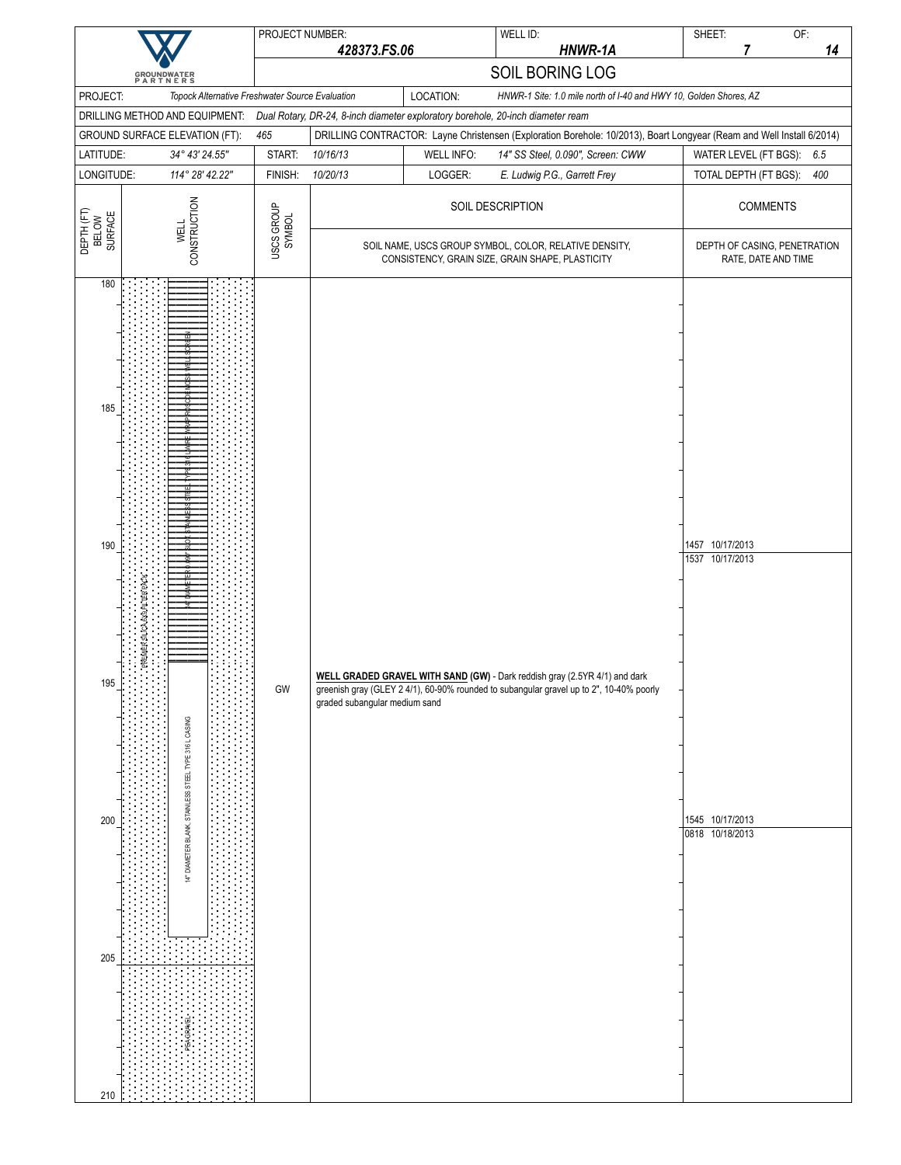|                                               |                                                                                         | PROJECT NUMBER:      |                               |                              | WELL ID:                                                                                                                                                              | SHEET:<br>OF:                                                                                                         |
|-----------------------------------------------|-----------------------------------------------------------------------------------------|----------------------|-------------------------------|------------------------------|-----------------------------------------------------------------------------------------------------------------------------------------------------------------------|-----------------------------------------------------------------------------------------------------------------------|
|                                               |                                                                                         |                      | 428373.FS.06                  |                              | HNWR-1A                                                                                                                                                               | 14<br>7                                                                                                               |
|                                               | <b>GROUNDWATER</b><br>PARTNERS                                                          |                      |                               |                              | SOIL BORING LOG                                                                                                                                                       |                                                                                                                       |
| PROJECT:                                      | Topock Alternative Freshwater Source Evaluation                                         |                      |                               | LOCATION:                    | HNWR-1 Site: 1.0 mile north of I-40 and HWY 10, Golden Shores, AZ                                                                                                     |                                                                                                                       |
|                                               | DRILLING METHOD AND EQUIPMENT:                                                          |                      |                               |                              | Dual Rotary, DR-24, 8-inch diameter exploratory borehole, 20-inch diameter ream                                                                                       |                                                                                                                       |
|                                               | GROUND SURFACE ELEVATION (FT):                                                          | 465                  |                               |                              |                                                                                                                                                                       | DRILLING CONTRACTOR: Layne Christensen (Exploration Borehole: 10/2013), Boart Longyear (Ream and Well Install 6/2014) |
| LATITUDE:<br>LONGITUDE:                       | 34° 43' 24.55"<br>114° 28' 42.22"                                                       | START:<br>FINISH:    | 10/16/13<br>10/20/13          | <b>WELL INFO:</b><br>LOGGER: | 14" SS Steel, 0.090", Screen: CWW<br>E. Ludwig P.G., Garrett Frey                                                                                                     | WATER LEVEL (FT BGS):<br>6.5<br>TOTAL DEPTH (FT BGS):<br>400                                                          |
|                                               |                                                                                         |                      |                               |                              |                                                                                                                                                                       |                                                                                                                       |
| DEPTH (FT)<br>BELOW<br>SURFACE                | CONSTRUCTION<br><b>WELL</b>                                                             | USCS GROUP<br>SYMBOL |                               |                              | SOIL DESCRIPTION                                                                                                                                                      | <b>COMMENTS</b>                                                                                                       |
|                                               |                                                                                         |                      |                               |                              | SOIL NAME, USCS GROUP SYMBOL, COLOR, RELATIVE DENSITY,<br>CONSISTENCY, GRAIN SIZE, GRAIN SHAPE, PLASTICITY                                                            | DEPTH OF CASING, PENETRATION<br>RATE, DATE AND TIME                                                                   |
| 180<br>185<br>190<br>195<br>200<br>205<br>210 | PREMIER SILICA 6X9 FILTER PACK<br>14" DIAMETER BLANK, STAINLESS STEEL TYPE 316 L CASING | GW                   | graded subangular medium sand |                              | WELL GRADED GRAVEL WITH SAND (GW) - Dark reddish gray (2.5YR 4/1) and dark<br>greenish gray (GLEY 2 4/1), 60-90% rounded to subangular gravel up to 2", 10-40% poorly | 1457 10/17/2013<br>1537 10/17/2013<br>1545 10/17/2013<br>0818 10/18/2013                                              |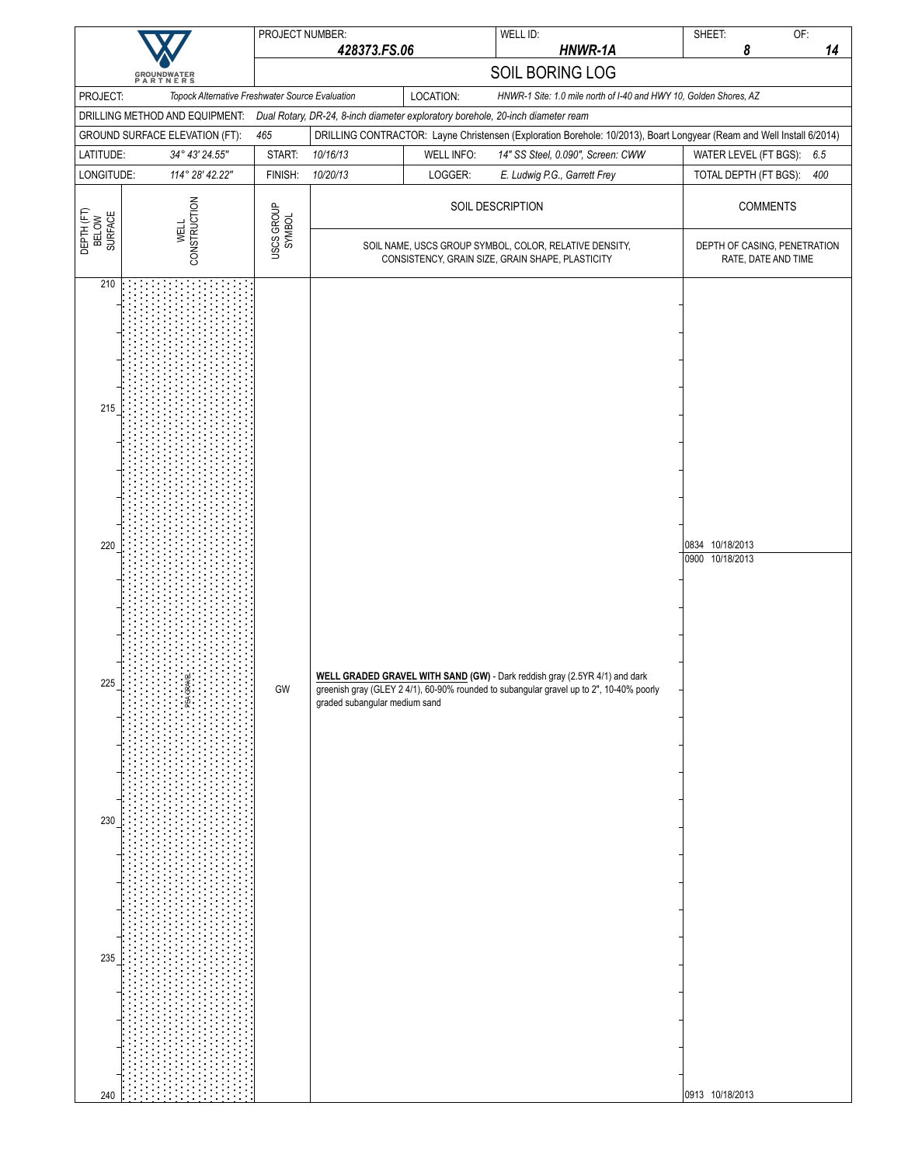| 428373.FS.06<br><b>GROUNDWATER</b><br>PARTNERS<br>LOCATION:<br>PROJECT:<br>Topock Alternative Freshwater Source Evaluation<br>DRILLING METHOD AND EQUIPMENT:<br>Dual Rotary, DR-24, 8-inch diameter exploratory borehole, 20-inch diameter ream<br>465<br>GROUND SURFACE ELEVATION (FT):<br>LATITUDE:<br>START:<br>10/16/13<br><b>WELL INFO:</b><br>34° 43' 24.55"<br>LONGITUDE:<br>114° 28' 42.22"<br>FINISH:<br>10/20/13<br>LOGGER:<br>CONSTRUCTION<br>USCS GROUP<br>SYMBOL<br>DEPTH (FT)<br>BELOW<br>SURFACE<br><b>WELL</b><br>210<br>215 | HNWR-1A<br>SOIL BORING LOG<br>HNWR-1 Site: 1.0 mile north of I-40 and HWY 10, Golden Shores, AZ<br>DRILLING CONTRACTOR: Layne Christensen (Exploration Borehole: 10/2013), Boart Longyear (Ream and Well Install 6/2014)<br>14" SS Steel, 0.090", Screen: CWW<br>E. Ludwig P.G., Garrett Frey<br>SOIL DESCRIPTION<br>SOIL NAME, USCS GROUP SYMBOL, COLOR, RELATIVE DENSITY,<br>CONSISTENCY, GRAIN SIZE, GRAIN SHAPE, PLASTICITY | 8<br>14<br>WATER LEVEL (FT BGS): 6.5<br>TOTAL DEPTH (FT BGS):<br>400<br><b>COMMENTS</b><br>DEPTH OF CASING, PENETRATION<br>RATE, DATE AND TIME |
|----------------------------------------------------------------------------------------------------------------------------------------------------------------------------------------------------------------------------------------------------------------------------------------------------------------------------------------------------------------------------------------------------------------------------------------------------------------------------------------------------------------------------------------------|---------------------------------------------------------------------------------------------------------------------------------------------------------------------------------------------------------------------------------------------------------------------------------------------------------------------------------------------------------------------------------------------------------------------------------|------------------------------------------------------------------------------------------------------------------------------------------------|
|                                                                                                                                                                                                                                                                                                                                                                                                                                                                                                                                              |                                                                                                                                                                                                                                                                                                                                                                                                                                 |                                                                                                                                                |
|                                                                                                                                                                                                                                                                                                                                                                                                                                                                                                                                              |                                                                                                                                                                                                                                                                                                                                                                                                                                 |                                                                                                                                                |
|                                                                                                                                                                                                                                                                                                                                                                                                                                                                                                                                              |                                                                                                                                                                                                                                                                                                                                                                                                                                 |                                                                                                                                                |
|                                                                                                                                                                                                                                                                                                                                                                                                                                                                                                                                              |                                                                                                                                                                                                                                                                                                                                                                                                                                 |                                                                                                                                                |
|                                                                                                                                                                                                                                                                                                                                                                                                                                                                                                                                              |                                                                                                                                                                                                                                                                                                                                                                                                                                 |                                                                                                                                                |
|                                                                                                                                                                                                                                                                                                                                                                                                                                                                                                                                              |                                                                                                                                                                                                                                                                                                                                                                                                                                 |                                                                                                                                                |
|                                                                                                                                                                                                                                                                                                                                                                                                                                                                                                                                              |                                                                                                                                                                                                                                                                                                                                                                                                                                 |                                                                                                                                                |
|                                                                                                                                                                                                                                                                                                                                                                                                                                                                                                                                              |                                                                                                                                                                                                                                                                                                                                                                                                                                 |                                                                                                                                                |
|                                                                                                                                                                                                                                                                                                                                                                                                                                                                                                                                              |                                                                                                                                                                                                                                                                                                                                                                                                                                 |                                                                                                                                                |
| 220<br>WELL GRADED GRAVEL WITH SAND (GW) - Dark reddish gray (2.5YR 4/1) and dark<br>225<br>GW<br>greenish gray (GLEY 2 4/1), 60-90% rounded to subangular gravel up to 2", 10-40% poorly<br>graded subangular medium sand<br>230<br>235<br>240                                                                                                                                                                                                                                                                                              |                                                                                                                                                                                                                                                                                                                                                                                                                                 | 0834 10/18/2013<br>0900 10/18/2013                                                                                                             |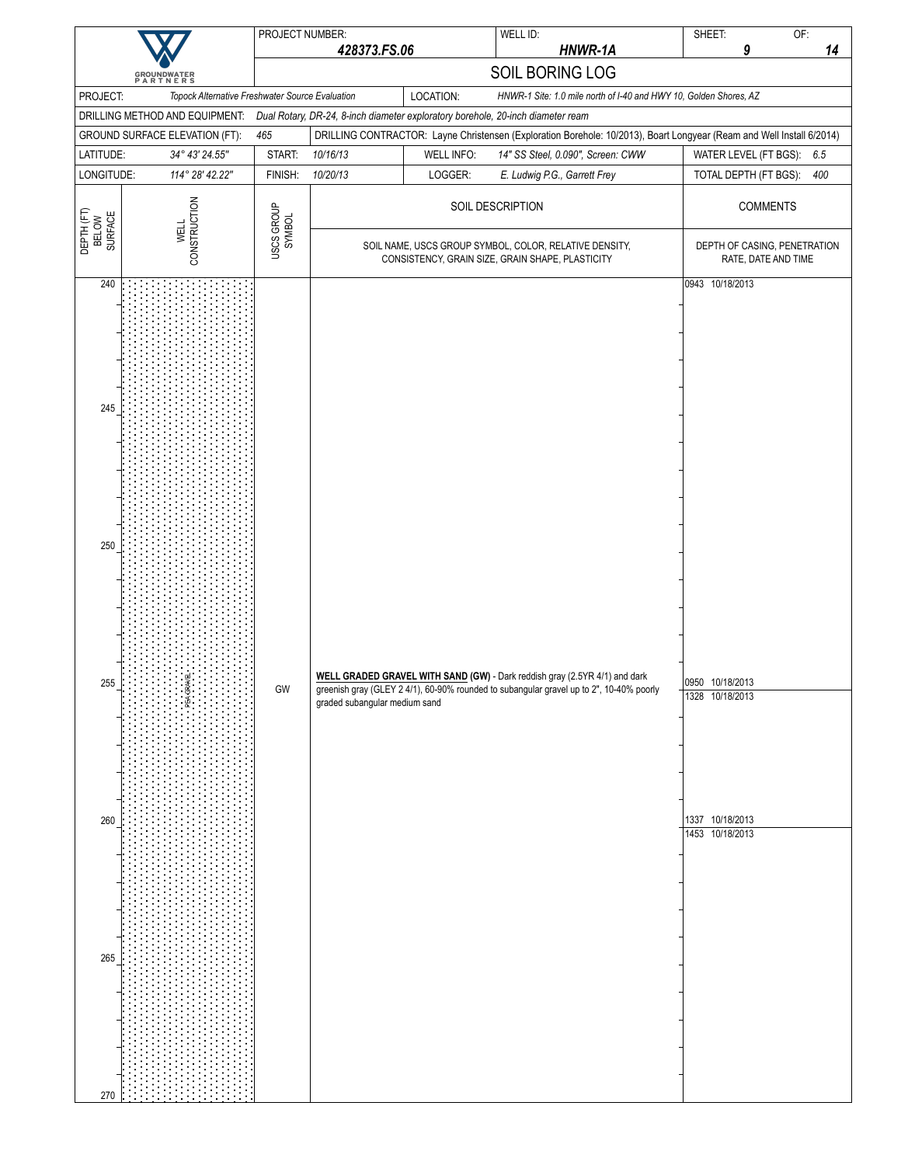|                                |                                                                  | PROJECT NUMBER:      |                               |                   | WELL ID:                                                                                                                                                                                                 | SHEET:                             | OF:                          |
|--------------------------------|------------------------------------------------------------------|----------------------|-------------------------------|-------------------|----------------------------------------------------------------------------------------------------------------------------------------------------------------------------------------------------------|------------------------------------|------------------------------|
|                                |                                                                  |                      | 428373.FS.06                  |                   | HNWR-1A                                                                                                                                                                                                  | 9                                  | 14                           |
|                                | <b>GROUNDWATER</b><br>PARTNERS                                   |                      |                               |                   | SOIL BORING LOG                                                                                                                                                                                          |                                    |                              |
| PROJECT:                       | Topock Alternative Freshwater Source Evaluation                  |                      |                               | LOCATION:         | HNWR-1 Site: 1.0 mile north of I-40 and HWY 10, Golden Shores, AZ                                                                                                                                        |                                    |                              |
|                                | DRILLING METHOD AND EQUIPMENT:<br>GROUND SURFACE ELEVATION (FT): | 465                  |                               |                   | Dual Rotary, DR-24, 8-inch diameter exploratory borehole, 20-inch diameter ream<br>DRILLING CONTRACTOR: Layne Christensen (Exploration Borehole: 10/2013), Boart Longyear (Ream and Well Install 6/2014) |                                    |                              |
| LATITUDE:                      | 34° 43' 24.55"                                                   | START:               | 10/16/13                      | <b>WELL INFO:</b> | 14" SS Steel, 0.090", Screen: CWW                                                                                                                                                                        | WATER LEVEL (FT BGS):              | 6.5                          |
| LONGITUDE:                     | 114° 28' 42.22"                                                  | FINISH:              | 10/20/13                      | LOGGER:           | E. Ludwig P.G., Garrett Frey                                                                                                                                                                             | TOTAL DEPTH (FT BGS):              | 400                          |
|                                |                                                                  |                      |                               |                   | SOIL DESCRIPTION                                                                                                                                                                                         |                                    | <b>COMMENTS</b>              |
| DEPTH (FT)<br>BELOW<br>SURFACE | CONSTRUCTION<br><b>WELL</b>                                      | USCS GROUP<br>SYMBOL |                               |                   | SOIL NAME, USCS GROUP SYMBOL, COLOR, RELATIVE DENSITY,                                                                                                                                                   |                                    | DEPTH OF CASING, PENETRATION |
| 240                            |                                                                  |                      |                               |                   | CONSISTENCY, GRAIN SIZE, GRAIN SHAPE, PLASTICITY                                                                                                                                                         | 0943 10/18/2013                    | RATE, DATE AND TIME          |
| 245<br>250                     |                                                                  |                      |                               |                   |                                                                                                                                                                                                          |                                    |                              |
| 255                            |                                                                  | GW                   | graded subangular medium sand |                   | WELL GRADED GRAVEL WITH SAND (GW) - Dark reddish gray (2.5YR 4/1) and dark<br>greenish gray (GLEY 2 4/1), 60-90% rounded to subangular gravel up to 2", 10-40% poorly                                    | 0950 10/18/2013<br>1328 10/18/2013 |                              |
| 260                            |                                                                  |                      |                               |                   |                                                                                                                                                                                                          | 1337 10/18/2013<br>1453 10/18/2013 |                              |
| 265<br>270                     |                                                                  |                      |                               |                   |                                                                                                                                                                                                          |                                    |                              |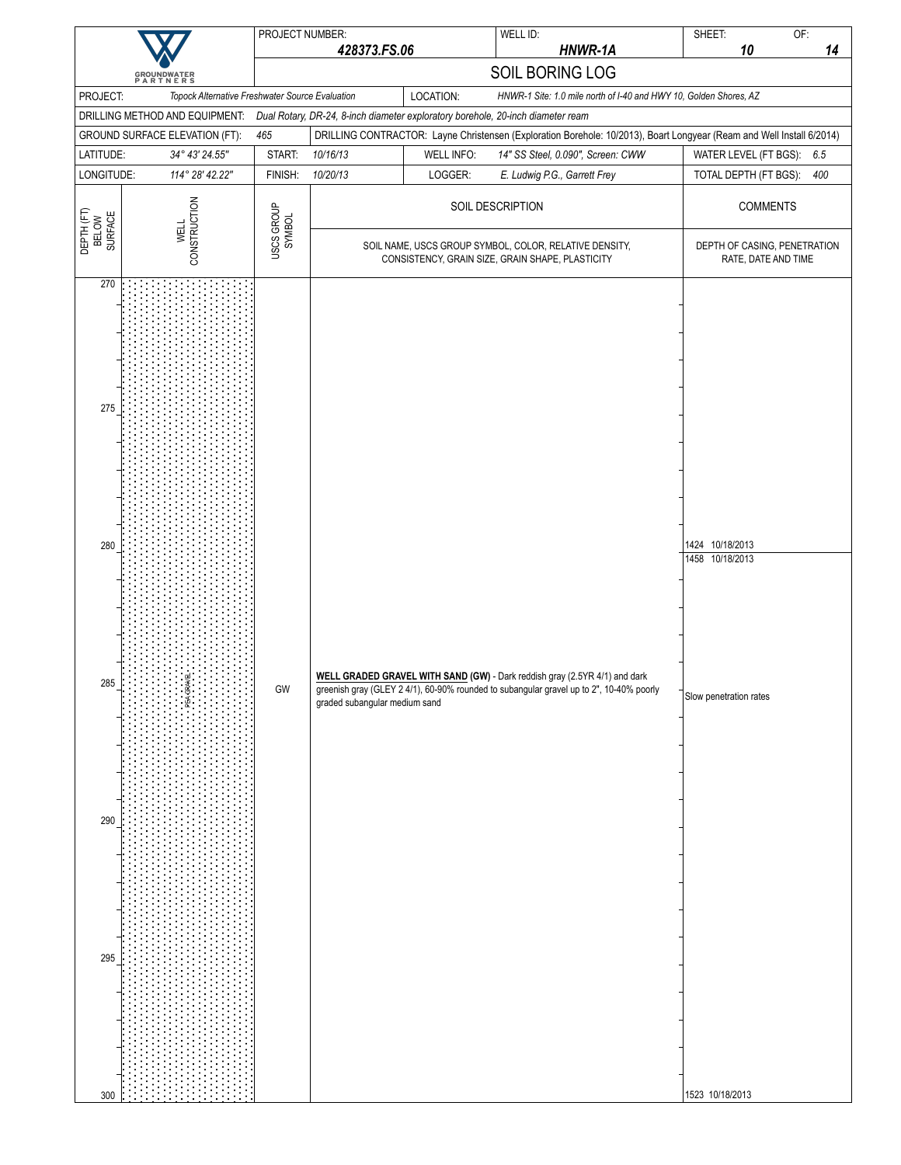|                                               |                                                  | PROJECT NUMBER:      |                               |                   | WELL ID:                                                                                                                                                              | SHEET:<br>OF:                                                                                                                                  |     |
|-----------------------------------------------|--------------------------------------------------|----------------------|-------------------------------|-------------------|-----------------------------------------------------------------------------------------------------------------------------------------------------------------------|------------------------------------------------------------------------------------------------------------------------------------------------|-----|
|                                               |                                                  |                      | 428373.FS.06                  |                   | HNWR-1A                                                                                                                                                               | 10                                                                                                                                             | 14  |
|                                               | <b>GROUNDWATER</b><br>PARTNERS                   |                      |                               |                   | SOIL BORING LOG                                                                                                                                                       |                                                                                                                                                |     |
| PROJECT:                                      | Topock Alternative Freshwater Source Evaluation  |                      |                               | LOCATION:         | HNWR-1 Site: 1.0 mile north of I-40 and HWY 10, Golden Shores, AZ                                                                                                     |                                                                                                                                                |     |
|                                               | DRILLING METHOD AND EQUIPMENT:                   |                      |                               |                   | Dual Rotary, DR-24, 8-inch diameter exploratory borehole, 20-inch diameter ream                                                                                       |                                                                                                                                                |     |
| LATITUDE:                                     | GROUND SURFACE ELEVATION (FT):<br>34° 43' 24.55" | 465<br>START:        | 10/16/13                      | <b>WELL INFO:</b> | 14" SS Steel, 0.090", Screen: CWW                                                                                                                                     | DRILLING CONTRACTOR: Layne Christensen (Exploration Borehole: 10/2013), Boart Longyear (Ream and Well Install 6/2014)<br>WATER LEVEL (FT BGS): | 6.5 |
| LONGITUDE:                                    | 114° 28' 42.22"                                  | FINISH:              | 10/20/13                      | LOGGER:           | E. Ludwig P.G., Garrett Frey                                                                                                                                          | TOTAL DEPTH (FT BGS):                                                                                                                          | 400 |
|                                               |                                                  |                      |                               |                   |                                                                                                                                                                       |                                                                                                                                                |     |
|                                               |                                                  |                      |                               |                   | SOIL DESCRIPTION                                                                                                                                                      | <b>COMMENTS</b>                                                                                                                                |     |
| DEPTH (FT)<br>BELOW<br>SURFACE                | CONSTRUCTION<br><b>WELL</b>                      | USCS GROUP<br>SYMBOL |                               |                   | SOIL NAME, USCS GROUP SYMBOL, COLOR, RELATIVE DENSITY,<br>CONSISTENCY, GRAIN SIZE, GRAIN SHAPE, PLASTICITY                                                            | DEPTH OF CASING, PENETRATION<br>RATE, DATE AND TIME                                                                                            |     |
| 270<br>275<br>280<br>285<br>290<br>295<br>300 |                                                  | GW                   | graded subangular medium sand |                   | WELL GRADED GRAVEL WITH SAND (GW) - Dark reddish gray (2.5YR 4/1) and dark<br>greenish gray (GLEY 2 4/1), 60-90% rounded to subangular gravel up to 2", 10-40% poorly | 1424 10/18/2013<br>1458 10/18/2013<br>Slow penetration rates<br>1523 10/18/2013                                                                |     |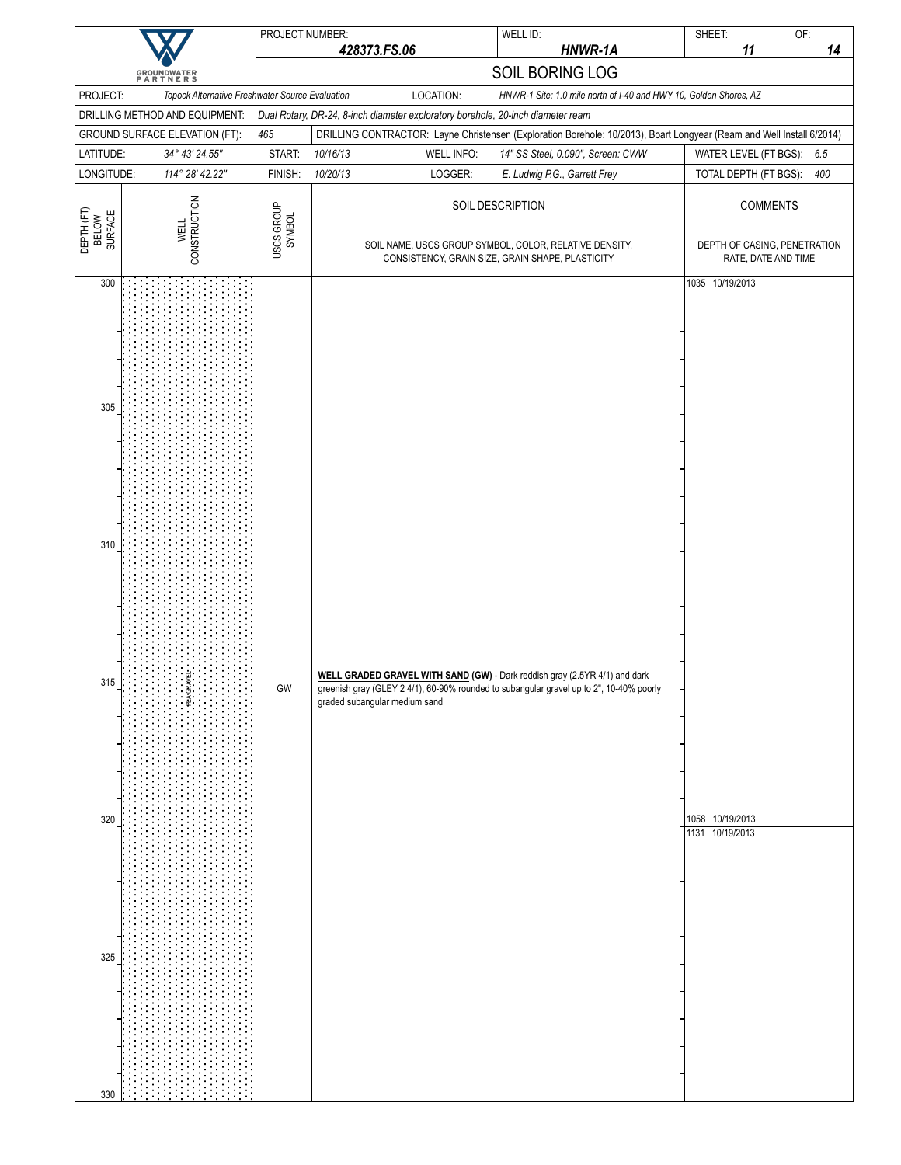|                                                                                               | PROJECT NUMBER:      | 428373.FS.06                  |                   | WELL ID:<br>HNWR-1A                                                                                                                                                   | SHEET:<br>11                                          | OF:<br>14 |
|-----------------------------------------------------------------------------------------------|----------------------|-------------------------------|-------------------|-----------------------------------------------------------------------------------------------------------------------------------------------------------------------|-------------------------------------------------------|-----------|
|                                                                                               |                      |                               |                   | SOIL BORING LOG                                                                                                                                                       |                                                       |           |
| <b>GROUNDWATER</b><br>PARTNERS<br>PROJECT:<br>Topock Alternative Freshwater Source Evaluation |                      |                               | LOCATION:         | HNWR-1 Site: 1.0 mile north of I-40 and HWY 10, Golden Shores, AZ                                                                                                     |                                                       |           |
| DRILLING METHOD AND EQUIPMENT:                                                                |                      |                               |                   | Dual Rotary, DR-24, 8-inch diameter exploratory borehole, 20-inch diameter ream                                                                                       |                                                       |           |
| GROUND SURFACE ELEVATION (FT):                                                                | 465                  |                               |                   | DRILLING CONTRACTOR: Layne Christensen (Exploration Borehole: 10/2013), Boart Longyear (Ream and Well Install 6/2014)                                                 |                                                       |           |
| LATITUDE:<br>34° 43' 24.55"                                                                   | START:               | 10/16/13                      | <b>WELL INFO:</b> | 14" SS Steel, 0.090", Screen: CWW                                                                                                                                     | WATER LEVEL (FT BGS):                                 | 6.5       |
| LONGITUDE:<br>114° 28' 42.22"                                                                 | FINISH:              | 10/20/13                      | LOGGER:           | E. Ludwig P.G., Garrett Frey                                                                                                                                          | TOTAL DEPTH (FT BGS):                                 | 400       |
| CONSTRUCTION<br>DEPTH (FT)<br>BELOW<br>SURFACE<br><b>WELL</b>                                 | USCS GROUP<br>SYMBOL |                               |                   | SOIL DESCRIPTION                                                                                                                                                      | <b>COMMENTS</b>                                       |           |
|                                                                                               |                      |                               |                   | SOIL NAME, USCS GROUP SYMBOL, COLOR, RELATIVE DENSITY,<br>CONSISTENCY, GRAIN SIZE, GRAIN SHAPE, PLASTICITY                                                            | DEPTH OF CASING, PENETRATION<br>RATE, DATE AND TIME   |           |
| 300<br>305<br>310<br>315<br>320<br>325<br>330                                                 | $\mathsf{GW}$        | graded subangular medium sand |                   | WELL GRADED GRAVEL WITH SAND (GW) - Dark reddish gray (2.5YR 4/1) and dark<br>greenish gray (GLEY 2 4/1), 60-90% rounded to subangular gravel up to 2", 10-40% poorly | 1035 10/19/2013<br>1058 10/19/2013<br>1131 10/19/2013 |           |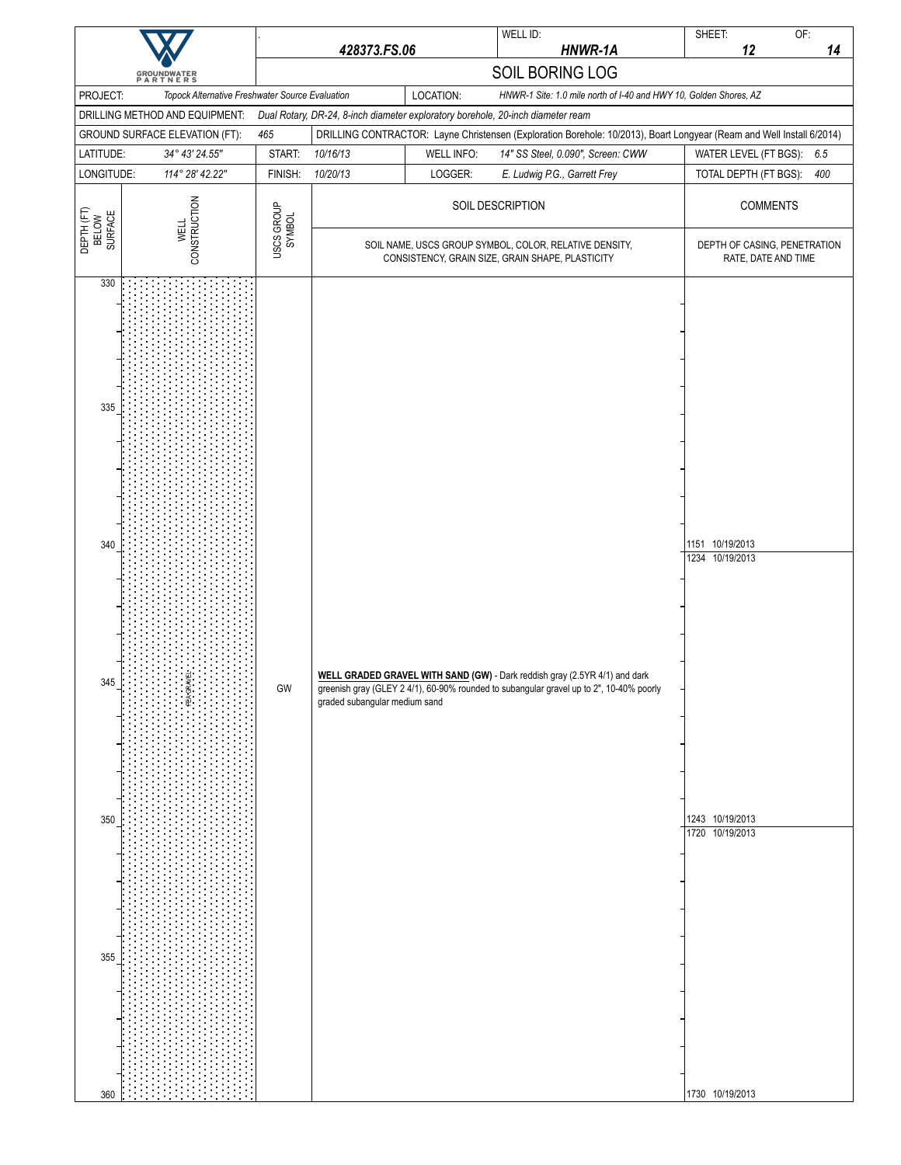|                                               |                                                                            |                      | 428373.FS.06                  |                   | WELL ID:<br>HNWR-1A                                                                                                                                                   | OF:<br>SHEET:<br>12<br>14                                                                                             |
|-----------------------------------------------|----------------------------------------------------------------------------|----------------------|-------------------------------|-------------------|-----------------------------------------------------------------------------------------------------------------------------------------------------------------------|-----------------------------------------------------------------------------------------------------------------------|
|                                               |                                                                            |                      |                               |                   | SOIL BORING LOG                                                                                                                                                       |                                                                                                                       |
| PROJECT:                                      | GROUNDWATER<br>PARTNERS<br>Topock Alternative Freshwater Source Evaluation |                      |                               | LOCATION:         | HNWR-1 Site: 1.0 mile north of I-40 and HWY 10, Golden Shores, AZ                                                                                                     |                                                                                                                       |
|                                               | DRILLING METHOD AND EQUIPMENT:                                             |                      |                               |                   | Dual Rotary, DR-24, 8-inch diameter exploratory borehole, 20-inch diameter ream                                                                                       |                                                                                                                       |
|                                               | GROUND SURFACE ELEVATION (FT):                                             | 465                  |                               |                   |                                                                                                                                                                       | DRILLING CONTRACTOR: Layne Christensen (Exploration Borehole: 10/2013), Boart Longyear (Ream and Well Install 6/2014) |
| LATITUDE:                                     | 34° 43' 24.55"                                                             | START:               | 10/16/13                      | <b>WELL INFO:</b> | 14" SS Steel, 0.090", Screen: CWW                                                                                                                                     | WATER LEVEL (FT BGS):<br>6.5                                                                                          |
| LONGITUDE:                                    | 114° 28' 42.22"                                                            | FINISH:              | 10/20/13                      | LOGGER:           | E. Ludwig P.G., Garrett Frey                                                                                                                                          | 400<br>TOTAL DEPTH (FT BGS):                                                                                          |
| DEPTH (FT)<br>BELOW<br>SURFACE                | CONSTRUCTION                                                               | USCS GROUP<br>SYMBOL |                               |                   | SOIL DESCRIPTION                                                                                                                                                      | <b>COMMENTS</b>                                                                                                       |
|                                               | <b>WELL</b>                                                                |                      |                               |                   | SOIL NAME, USCS GROUP SYMBOL, COLOR, RELATIVE DENSITY,<br>CONSISTENCY, GRAIN SIZE, GRAIN SHAPE, PLASTICITY                                                            | DEPTH OF CASING, PENETRATION<br>RATE, DATE AND TIME                                                                   |
| 330<br>335<br>340<br>345<br>350<br>355<br>360 |                                                                            | $\mathsf{GW}$        | graded subangular medium sand |                   | WELL GRADED GRAVEL WITH SAND (GW) - Dark reddish gray (2.5YR 4/1) and dark<br>greenish gray (GLEY 2 4/1), 60-90% rounded to subangular gravel up to 2", 10-40% poorly | 1151 10/19/2013<br>1234 10/19/2013<br>1243 10/19/2013<br>1720 10/19/2013<br>1730 10/19/2013                           |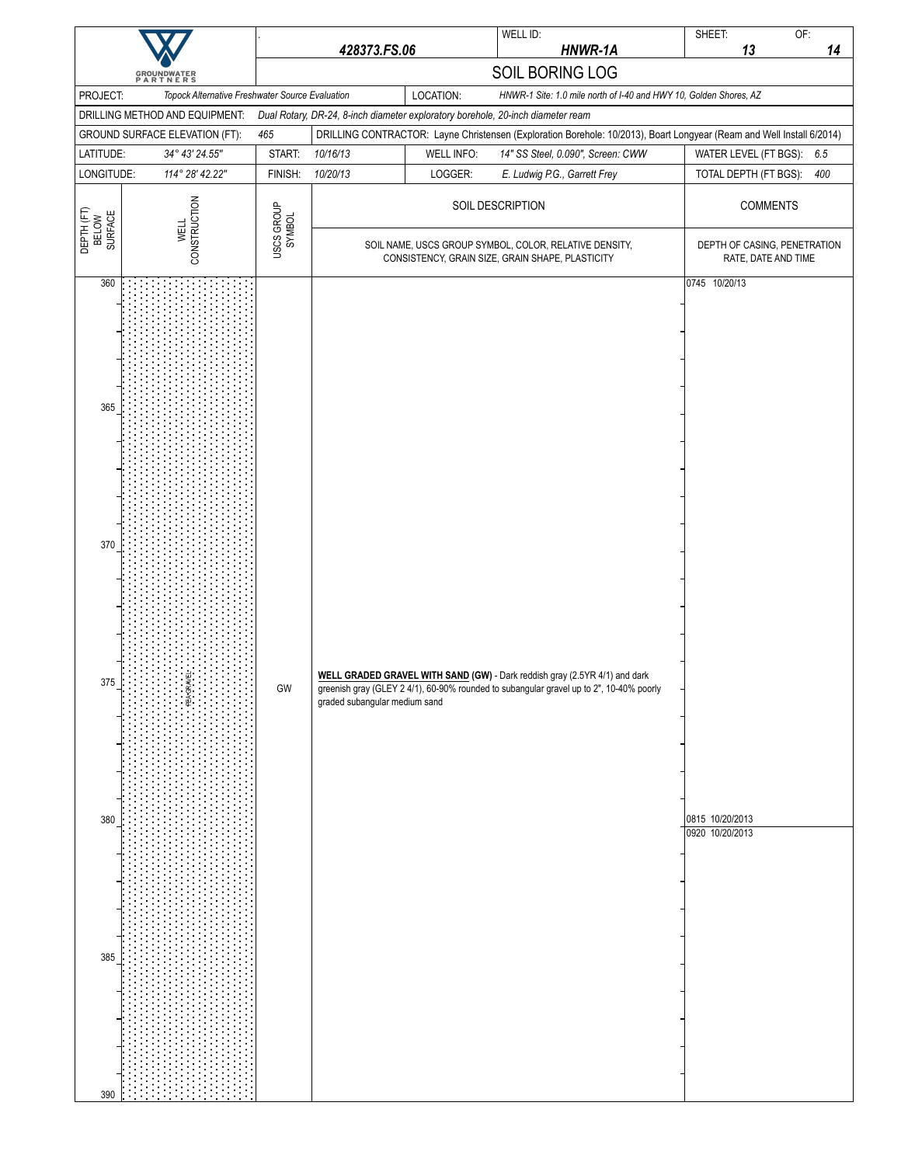| <b>GROUNDWATER</b><br>PARTNERS                |                                                 | 428373.FS.06         |                                                                                                            |                                                                   | WELL ID:<br>HNWR-1A                                                                                                                                                   | SHEET:<br>OF:<br>13<br>14                                                                                             |
|-----------------------------------------------|-------------------------------------------------|----------------------|------------------------------------------------------------------------------------------------------------|-------------------------------------------------------------------|-----------------------------------------------------------------------------------------------------------------------------------------------------------------------|-----------------------------------------------------------------------------------------------------------------------|
|                                               |                                                 |                      |                                                                                                            |                                                                   | SOIL BORING LOG                                                                                                                                                       |                                                                                                                       |
| PROJECT:                                      | Topock Alternative Freshwater Source Evaluation |                      |                                                                                                            | HNWR-1 Site: 1.0 mile north of I-40 and HWY 10, Golden Shores, AZ |                                                                                                                                                                       |                                                                                                                       |
|                                               | DRILLING METHOD AND EQUIPMENT:                  |                      |                                                                                                            | LOCATION:                                                         | Dual Rotary, DR-24, 8-inch diameter exploratory borehole, 20-inch diameter ream                                                                                       |                                                                                                                       |
|                                               | GROUND SURFACE ELEVATION (FT):                  | 465                  |                                                                                                            |                                                                   |                                                                                                                                                                       | DRILLING CONTRACTOR: Layne Christensen (Exploration Borehole: 10/2013), Boart Longyear (Ream and Well Install 6/2014) |
| LATITUDE:                                     | 34° 43' 24.55"                                  | START:               | 10/16/13                                                                                                   | <b>WELL INFO:</b>                                                 | 14" SS Steel, 0.090", Screen: CWW                                                                                                                                     | WATER LEVEL (FT BGS):<br>6.5                                                                                          |
| LONGITUDE:                                    | 114° 28' 42.22"                                 | FINISH:              | 10/20/13                                                                                                   | LOGGER:                                                           | E. Ludwig P.G., Garrett Frey                                                                                                                                          | 400<br>TOTAL DEPTH (FT BGS):                                                                                          |
| DEPTH (FT)<br>BELOW<br>SURFACE                | CONSTRUCTION<br><b>WELL</b>                     | USCS GROUP<br>SYMBOL | SOIL DESCRIPTION                                                                                           |                                                                   |                                                                                                                                                                       | <b>COMMENTS</b>                                                                                                       |
|                                               |                                                 |                      | SOIL NAME, USCS GROUP SYMBOL, COLOR, RELATIVE DENSITY,<br>CONSISTENCY, GRAIN SIZE, GRAIN SHAPE, PLASTICITY |                                                                   |                                                                                                                                                                       | DEPTH OF CASING, PENETRATION<br>RATE, DATE AND TIME                                                                   |
| 360<br>365<br>370<br>375<br>380<br>385<br>390 |                                                 | $\mathsf{GW}$        | graded subangular medium sand                                                                              |                                                                   | WELL GRADED GRAVEL WITH SAND (GW) - Dark reddish gray (2.5YR 4/1) and dark<br>greenish gray (GLEY 2 4/1), 60-90% rounded to subangular gravel up to 2", 10-40% poorly | 0745 10/20/13<br>0815 10/20/2013<br>0920 10/20/2013                                                                   |